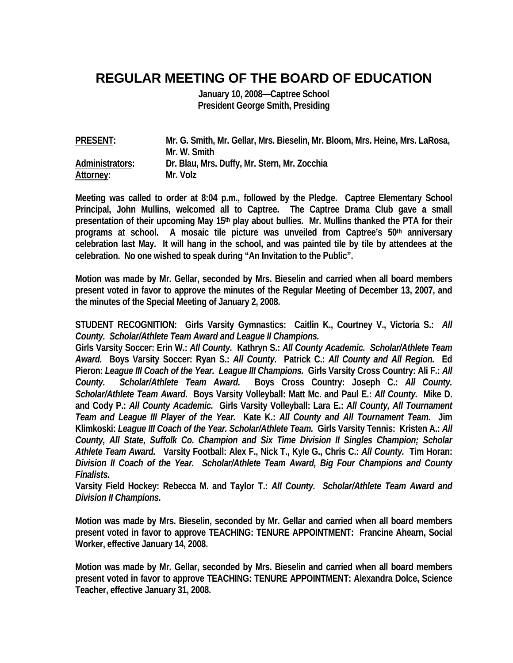## **REGULAR MEETING OF THE BOARD OF EDUCATION**

**January 10, 2008—Captree School President George Smith, Presiding** 

| <b>PRESENT:</b> | Mr. G. Smith, Mr. Gellar, Mrs. Bieselin, Mr. Bloom, Mrs. Heine, Mrs. LaRosa, |
|-----------------|------------------------------------------------------------------------------|
|                 | Mr. W. Smith                                                                 |
| Administrators: | Dr. Blau, Mrs. Duffy, Mr. Stern, Mr. Zocchia                                 |
| Attorney:       | Mr. Volz                                                                     |

**Meeting was called to order at 8:04 p.m., followed by the Pledge. Captree Elementary School Principal, John Mullins, welcomed all to Captree. The Captree Drama Club gave a small**  presentation of their upcoming May 15<sup>th</sup> play about bullies. Mr. Mullins thanked the PTA for their **programs at school. A mosaic tile picture was unveiled from Captree's 50th anniversary celebration last May. It will hang in the school, and was painted tile by tile by attendees at the celebration. No one wished to speak during "An Invitation to the Public".** 

**Motion was made by Mr. Gellar, seconded by Mrs. Bieselin and carried when all board members present voted in favor to approve the minutes of the Regular Meeting of December 13, 2007, and the minutes of the Special Meeting of January 2, 2008.** 

**STUDENT RECOGNITION: Girls Varsity Gymnastics: Caitlin K., Courtney V., Victoria S.:** *All County. Scholar/Athlete Team Award and League II Champions.* 

**Girls Varsity Soccer: Erin W.:** *All County.* **Kathryn S.:** *All County Academic. Scholar/Athlete Team Award.* **Boys Varsity Soccer: Ryan S.:** *All County.* **Patrick C.:** *All County and All Region.* **Ed Pieron:** *League III Coach of the Year. League III Champions.* **Girls Varsity Cross Country: Ali F.:** *All County. Scholar/Athlete Team Award.* **Boys Cross Country: Joseph C.:** *All County. Scholar/Athlete Team Award.* **Boys Varsity Volleyball: Matt Mc. and Paul E.:** *All County.* **Mike D. and Cody P.:** *All County Academic.* **Girls Varsity Volleyball: Lara E.:** *All County, All Tournament Team and League III Player of the Year.* **Kate K.:** *All County and All Tournament Team.* **Jim Klimkoski:** *League III Coach of the Year. Scholar/Athlete Team.* **Girls Varsity Tennis: Kristen A.:** *All County, All State, Suffolk Co. Champion and Six Time Division II Singles Champion; Scholar Athlete Team Award.* **Varsity Football: Alex F., Nick T., Kyle G., Chris C.:** *All County.* **Tim Horan:**  *Division II Coach of the Year. Scholar/Athlete Team Award, Big Four Champions and County Finalists.* 

**Varsity Field Hockey: Rebecca M. and Taylor T.:** *All County. Scholar/Athlete Team Award and Division II Champions.* 

**Motion was made by Mrs. Bieselin, seconded by Mr. Gellar and carried when all board members present voted in favor to approve TEACHING: TENURE APPOINTMENT: Francine Ahearn, Social Worker, effective January 14, 2008.** 

**Motion was made by Mr. Gellar, seconded by Mrs. Bieselin and carried when all board members present voted in favor to approve TEACHING: TENURE APPOINTMENT: Alexandra Dolce, Science Teacher, effective January 31, 2008.**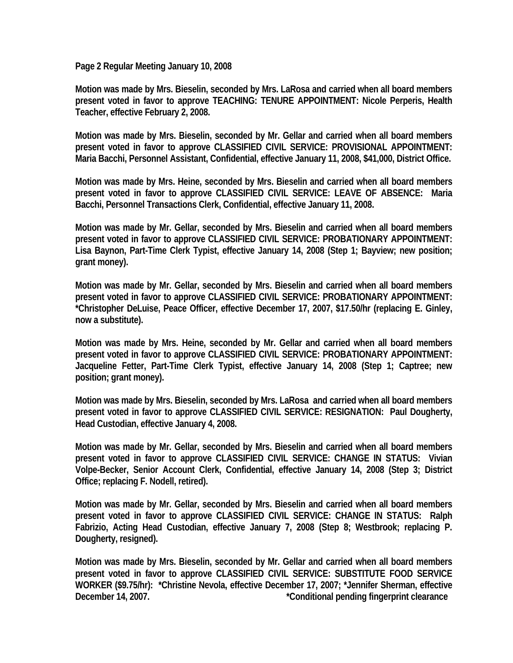**Page 2 Regular Meeting January 10, 2008** 

**Motion was made by Mrs. Bieselin, seconded by Mrs. LaRosa and carried when all board members present voted in favor to approve TEACHING: TENURE APPOINTMENT: Nicole Perperis, Health Teacher, effective February 2, 2008.** 

**Motion was made by Mrs. Bieselin, seconded by Mr. Gellar and carried when all board members present voted in favor to approve CLASSIFIED CIVIL SERVICE: PROVISIONAL APPOINTMENT: Maria Bacchi, Personnel Assistant, Confidential, effective January 11, 2008, \$41,000, District Office.** 

**Motion was made by Mrs. Heine, seconded by Mrs. Bieselin and carried when all board members present voted in favor to approve CLASSIFIED CIVIL SERVICE: LEAVE OF ABSENCE: Maria Bacchi, Personnel Transactions Clerk, Confidential, effective January 11, 2008.** 

**Motion was made by Mr. Gellar, seconded by Mrs. Bieselin and carried when all board members present voted in favor to approve CLASSIFIED CIVIL SERVICE: PROBATIONARY APPOINTMENT: Lisa Baynon, Part-Time Clerk Typist, effective January 14, 2008 (Step 1; Bayview; new position; grant money).** 

**Motion was made by Mr. Gellar, seconded by Mrs. Bieselin and carried when all board members present voted in favor to approve CLASSIFIED CIVIL SERVICE: PROBATIONARY APPOINTMENT: \*Christopher DeLuise, Peace Officer, effective December 17, 2007, \$17.50/hr (replacing E. Ginley, now a substitute).** 

**Motion was made by Mrs. Heine, seconded by Mr. Gellar and carried when all board members present voted in favor to approve CLASSIFIED CIVIL SERVICE: PROBATIONARY APPOINTMENT: Jacqueline Fetter, Part-Time Clerk Typist, effective January 14, 2008 (Step 1; Captree; new position; grant money).** 

**Motion was made by Mrs. Bieselin, seconded by Mrs. LaRosa and carried when all board members present voted in favor to approve CLASSIFIED CIVIL SERVICE: RESIGNATION: Paul Dougherty, Head Custodian, effective January 4, 2008.** 

**Motion was made by Mr. Gellar, seconded by Mrs. Bieselin and carried when all board members present voted in favor to approve CLASSIFIED CIVIL SERVICE: CHANGE IN STATUS: Vivian Volpe-Becker, Senior Account Clerk, Confidential, effective January 14, 2008 (Step 3; District Office; replacing F. Nodell, retired).** 

**Motion was made by Mr. Gellar, seconded by Mrs. Bieselin and carried when all board members present voted in favor to approve CLASSIFIED CIVIL SERVICE: CHANGE IN STATUS: Ralph Fabrizio, Acting Head Custodian, effective January 7, 2008 (Step 8; Westbrook; replacing P. Dougherty, resigned).** 

**Motion was made by Mrs. Bieselin, seconded by Mr. Gellar and carried when all board members present voted in favor to approve CLASSIFIED CIVIL SERVICE: SUBSTITUTE FOOD SERVICE WORKER (\$9.75/hr): \*Christine Nevola, effective December 17, 2007; \*Jennifer Sherman, effective December 14, 2007. Conditional pending fingerprint clearance**  $\sim$  **Conditional pending fingerprint clearance**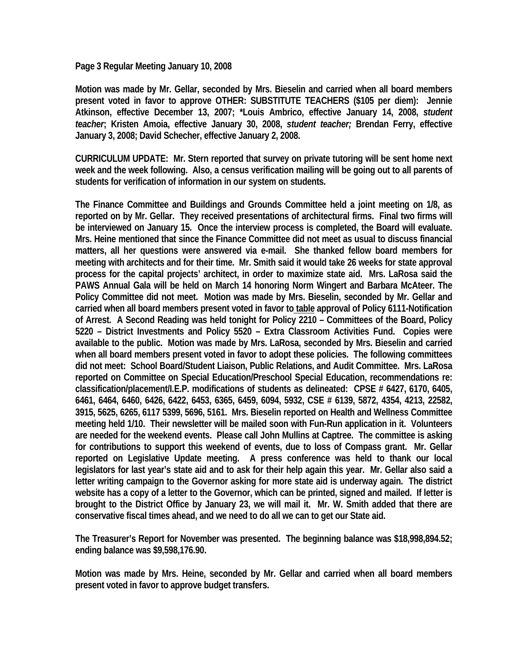**Page 3 Regular Meeting January 10, 2008** 

**Motion was made by Mr. Gellar, seconded by Mrs. Bieselin and carried when all board members present voted in favor to approve OTHER: SUBSTITUTE TEACHERS (\$105 per diem): Jennie Atkinson, effective December 13, 2007; \*Louis Ambrico, effective January 14, 2008,** *student teacher***; Kristen Amoia, effective January 30, 2008,** *student teacher;* **Brendan Ferry, effective January 3, 2008; David Schecher, effective January 2, 2008.** 

**CURRICULUM UPDATE: Mr. Stern reported that survey on private tutoring will be sent home next week and the week following. Also, a census verification mailing will be going out to all parents of students for verification of information in our system on students.** 

**The Finance Committee and Buildings and Grounds Committee held a joint meeting on 1/8, as reported on by Mr. Gellar. They received presentations of architectural firms. Final two firms will be interviewed on January 15. Once the interview process is completed, the Board will evaluate. Mrs. Heine mentioned that since the Finance Committee did not meet as usual to discuss financial matters, all her questions were answered via e-mail. She thanked fellow board members for meeting with architects and for their time. Mr. Smith said it would take 26 weeks for state approval process for the capital projects' architect, in order to maximize state aid. Mrs. LaRosa said the PAWS Annual Gala will be held on March 14 honoring Norm Wingert and Barbara McAteer. The Policy Committee did not meet. Motion was made by Mrs. Bieselin, seconded by Mr. Gellar and carried when all board members present voted in favor to table approval of Policy 6111-Notification of Arrest. A Second Reading was held tonight for Policy 2210 – Committees of the Board, Policy 5220 – District Investments and Policy 5520 – Extra Classroom Activities Fund. Copies were available to the public. Motion was made by Mrs. LaRosa, seconded by Mrs. Bieselin and carried when all board members present voted in favor to adopt these policies. The following committees did not meet: School Board/Student Liaison, Public Relations, and Audit Committee. Mrs. LaRosa reported on Committee on Special Education/Preschool Special Education, recommendations re: classification/placement/I.E.P. modifications of students as delineated: CPSE # 6427, 6170, 6405, 6461, 6464, 6460, 6426, 6422, 6453, 6365, 6459, 6094, 5932, CSE # 6139, 5872, 4354, 4213, 22582, 3915, 5625, 6265, 6117 5399, 5696, 5161. Mrs. Bieselin reported on Health and Wellness Committee meeting held 1/10. Their newsletter will be mailed soon with Fun-Run application in it. Volunteers are needed for the weekend events. Please call John Mullins at Captree. The committee is asking for contributions to support this weekend of events, due to loss of Compass grant. Mr. Gellar reported on Legislative Update meeting. A press conference was held to thank our local legislators for last year's state aid and to ask for their help again this year. Mr. Gellar also said a letter writing campaign to the Governor asking for more state aid is underway again. The district website has a copy of a letter to the Governor, which can be printed, signed and mailed. If letter is brought to the District Office by January 23, we will mail it. Mr. W. Smith added that there are conservative fiscal times ahead, and we need to do all we can to get our State aid.** 

**The Treasurer's Report for November was presented. The beginning balance was \$18,998,894.52; ending balance was \$9,598,176.90.** 

**Motion was made by Mrs. Heine, seconded by Mr. Gellar and carried when all board members present voted in favor to approve budget transfers.**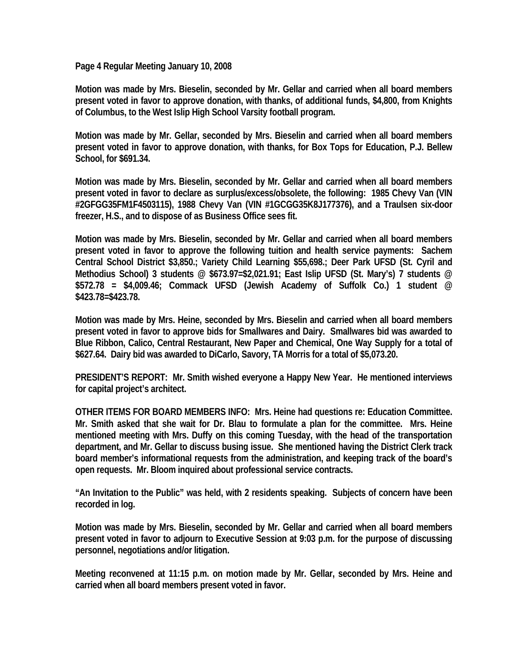**Page 4 Regular Meeting January 10, 2008** 

**Motion was made by Mrs. Bieselin, seconded by Mr. Gellar and carried when all board members present voted in favor to approve donation, with thanks, of additional funds, \$4,800, from Knights of Columbus, to the West Islip High School Varsity football program.** 

**Motion was made by Mr. Gellar, seconded by Mrs. Bieselin and carried when all board members present voted in favor to approve donation, with thanks, for Box Tops for Education, P.J. Bellew School, for \$691.34.** 

**Motion was made by Mrs. Bieselin, seconded by Mr. Gellar and carried when all board members present voted in favor to declare as surplus/excess/obsolete, the following: 1985 Chevy Van (VIN #2GFGG35FM1F4503115), 1988 Chevy Van (VIN #1GCGG35K8J177376), and a Traulsen six-door freezer, H.S., and to dispose of as Business Office sees fit.** 

**Motion was made by Mrs. Bieselin, seconded by Mr. Gellar and carried when all board members present voted in favor to approve the following tuition and health service payments: Sachem Central School District \$3,850.; Variety Child Learning \$55,698.; Deer Park UFSD (St. Cyril and Methodius School) 3 students @ \$673.97=\$2,021.91; East Islip UFSD (St. Mary's) 7 students @ \$572.78 = \$4,009.46; Commack UFSD (Jewish Academy of Suffolk Co.) 1 student @ \$423.78=\$423.78.** 

**Motion was made by Mrs. Heine, seconded by Mrs. Bieselin and carried when all board members present voted in favor to approve bids for Smallwares and Dairy. Smallwares bid was awarded to Blue Ribbon, Calico, Central Restaurant, New Paper and Chemical, One Way Supply for a total of \$627.64. Dairy bid was awarded to DiCarlo, Savory, TA Morris for a total of \$5,073.20.** 

**PRESIDENT'S REPORT: Mr. Smith wished everyone a Happy New Year. He mentioned interviews for capital project's architect.** 

**OTHER ITEMS FOR BOARD MEMBERS INFO: Mrs. Heine had questions re: Education Committee. Mr. Smith asked that she wait for Dr. Blau to formulate a plan for the committee. Mrs. Heine mentioned meeting with Mrs. Duffy on this coming Tuesday, with the head of the transportation department, and Mr. Gellar to discuss busing issue. She mentioned having the District Clerk track board member's informational requests from the administration, and keeping track of the board's open requests. Mr. Bloom inquired about professional service contracts.** 

**"An Invitation to the Public" was held, with 2 residents speaking. Subjects of concern have been recorded in log.** 

**Motion was made by Mrs. Bieselin, seconded by Mr. Gellar and carried when all board members present voted in favor to adjourn to Executive Session at 9:03 p.m. for the purpose of discussing personnel, negotiations and/or litigation.** 

**Meeting reconvened at 11:15 p.m. on motion made by Mr. Gellar, seconded by Mrs. Heine and carried when all board members present voted in favor.**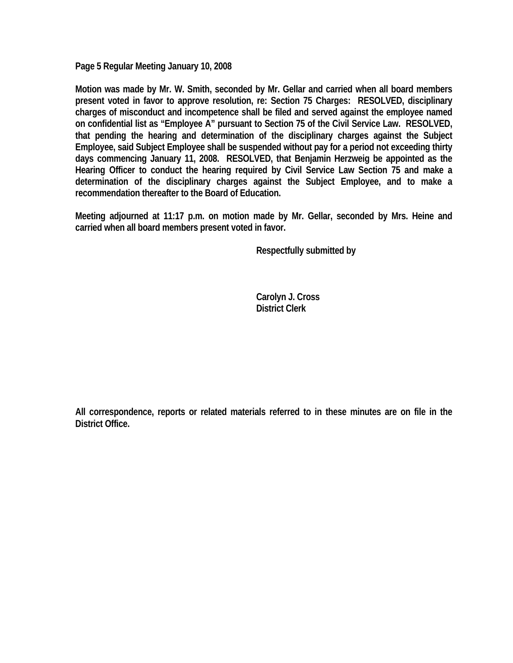**Page 5 Regular Meeting January 10, 2008** 

**Motion was made by Mr. W. Smith, seconded by Mr. Gellar and carried when all board members present voted in favor to approve resolution, re: Section 75 Charges: RESOLVED, disciplinary charges of misconduct and incompetence shall be filed and served against the employee named on confidential list as "Employee A" pursuant to Section 75 of the Civil Service Law. RESOLVED, that pending the hearing and determination of the disciplinary charges against the Subject Employee, said Subject Employee shall be suspended without pay for a period not exceeding thirty days commencing January 11, 2008. RESOLVED, that Benjamin Herzweig be appointed as the Hearing Officer to conduct the hearing required by Civil Service Law Section 75 and make a determination of the disciplinary charges against the Subject Employee, and to make a recommendation thereafter to the Board of Education.** 

**Meeting adjourned at 11:17 p.m. on motion made by Mr. Gellar, seconded by Mrs. Heine and carried when all board members present voted in favor.** 

 **Respectfully submitted by** 

 **Carolyn J. Cross District Clerk** 

**All correspondence, reports or related materials referred to in these minutes are on file in the District Office.**